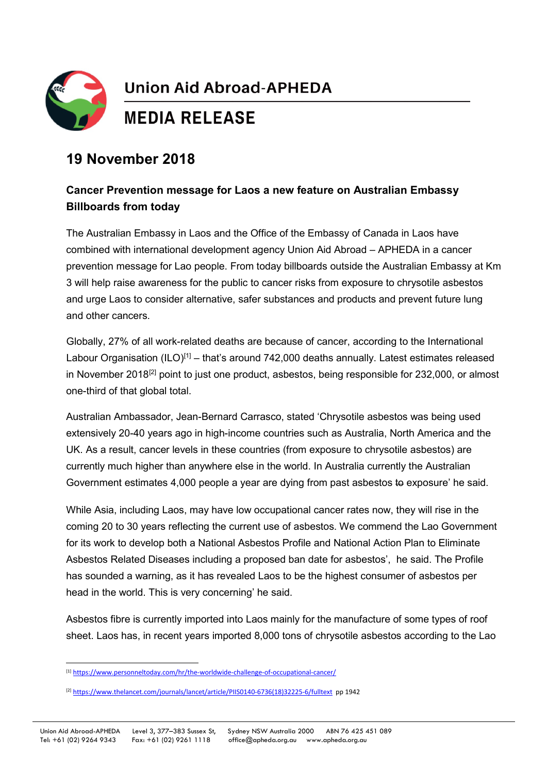

## **Union Aid Abroad-APHEDA**

## **MEDIA RELEASE**

## **19 November 2018**

## **Cancer Prevention message for Laos a new feature on Australian Embassy Billboards from today**

The Australian Embassy in Laos and the Office of the Embassy of Canada in Laos have combined with international development agency Union Aid Abroad – APHEDA in a cancer prevention message for Lao people. From today billboards outside the Australian Embassy at Km 3 will help raise awareness for the public to cancer risks from exposure to chrysotile asbestos and urge Laos to consider alternative, safer substances and products and prevent future lung and other cancers.

Globally, 27% of all work-related deaths are because of cancer, according to the International Labour Organisation (ILO)<sup>[\[1\]](#page-0-0)</sup> – that's around 742,000 deaths annually. Latest estimates released in November 2018<sup>[\[2\]](#page-0-1)</sup> point to just one product, asbestos, being responsible for 232,000, or almost one-third of that global total.

Australian Ambassador, Jean-Bernard Carrasco, stated 'Chrysotile asbestos was being used extensively 20-40 years ago in high-income countries such as Australia, North America and the UK. As a result, cancer levels in these countries (from exposure to chrysotile asbestos) are currently much higher than anywhere else in the world. In Australia currently the Australian Government estimates 4,000 people a year are dying from past asbestos to exposure' he said.

While Asia, including Laos, may have low occupational cancer rates now, they will rise in the coming 20 to 30 years reflecting the current use of asbestos. We commend the Lao Government for its work to develop both a National Asbestos Profile and National Action Plan to Eliminate Asbestos Related Diseases including a proposed ban date for asbestos', he said. The Profile has sounded a warning, as it has revealed Laos to be the highest consumer of asbestos per head in the world. This is very concerning' he said.

Asbestos fibre is currently imported into Laos mainly for the manufacture of some types of roof sheet. Laos has, in recent years imported 8,000 tons of chrysotile asbestos according to the Lao

<span id="page-0-0"></span> <sup>[1]</sup> <https://www.personneltoday.com/hr/the-worldwide-challenge-of-occupational-cancer/>

<span id="page-0-1"></span><sup>[2]</sup> [https://www.thelancet.com/journals/lancet/article/PIIS0140-6736\(18\)32225-6/fulltext](https://www.thelancet.com/journals/lancet/article/PIIS0140-6736(18)32225-6/fulltext) pp 1942